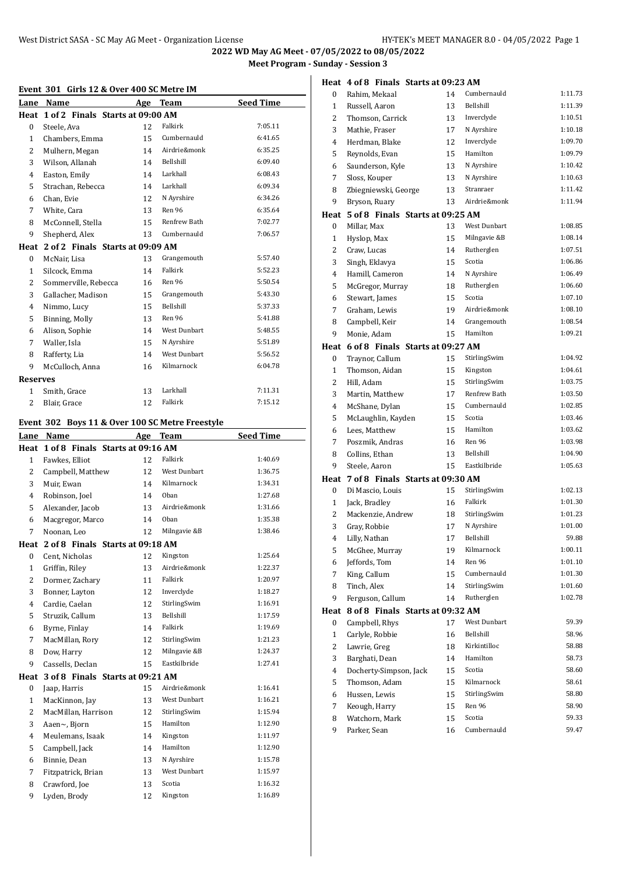**2022 WD May AG Meet - 07/05/2022 to 08/05/2022 Meet Program - Sunday - Session 3**

# **Event 301 Girls 12 & Over 400 SC Metre IM**

| Event 301 Girls 12 & Over 400 SC Metre IM |                                                                               |        |                                      |                  |  |
|-------------------------------------------|-------------------------------------------------------------------------------|--------|--------------------------------------|------------------|--|
|                                           | Lane Name                                                                     | Age    | <b>Team</b>                          | <b>Seed Time</b> |  |
|                                           | Heat 1 of 2 Finals Starts at 09:00 AM                                         |        |                                      |                  |  |
| 0                                         | Steele, Ava                                                                   | 12     | Falkirk                              | 7:05.11          |  |
| 1                                         | Chambers, Emma                                                                | 15     | Cumbernauld                          | 6:41.65          |  |
| 2                                         | Mulhern, Megan                                                                | 14     | Airdrie&monk                         | 6:35.25          |  |
| 3                                         | Wilson, Allanah                                                               | 14     | Bellshill                            | 6:09.40          |  |
| 4                                         | Easton, Emily                                                                 | 14     | Larkhall                             | 6:08.43          |  |
| 5                                         | Strachan, Rebecca                                                             | 14     | Larkhall                             | 6:09.34          |  |
| 6                                         | Chan, Evie                                                                    | 12     | N Ayrshire                           | 6:34.26          |  |
| $\overline{7}$                            | White, Cara                                                                   | 13     | Ren 96                               | 6:35.64          |  |
| 8                                         | McConnell, Stella                                                             | 15     | Renfrew Bath                         | 7:02.77          |  |
| 9                                         | Shepherd, Alex                                                                | 13     | Cumbernauld                          | 7:06.57          |  |
| Heat                                      | 2 of 2 Finals Starts at 09:09 AM                                              |        |                                      |                  |  |
| 0                                         | McNair, Lisa                                                                  | 13     | Grangemouth                          | 5:57.40          |  |
| $\mathbf{1}$                              | Silcock, Emma                                                                 | 14     | Falkirk                              | 5:52.23          |  |
| 2                                         | Sommerville, Rebecca                                                          | 16     | Ren 96                               | 5:50.54          |  |
| 3                                         | Gallacher, Madison                                                            | 15     | Grangemouth                          | 5:43.30          |  |
| 4                                         | Nimmo, Lucy                                                                   | 15     | Bellshill                            | 5:37.33          |  |
| 5                                         | Binning, Molly                                                                | 13     | Ren 96                               | 5:41.88          |  |
| 6                                         | Alison, Sophie                                                                | 14     | <b>West Dunbart</b>                  | 5:48.55          |  |
| 7                                         | Waller, Isla                                                                  | 15     | N Ayrshire                           | 5:51.89          |  |
| 8                                         | Rafferty, Lia                                                                 | 14     | <b>West Dunbart</b>                  | 5:56.52          |  |
| 9                                         | McCulloch, Anna                                                               | 16     | Kilmarnock                           | 6:04.78          |  |
| <b>Reserves</b>                           |                                                                               |        |                                      |                  |  |
| 1                                         | Smith, Grace                                                                  | 13     | Larkhall                             | 7:11.31          |  |
| $\overline{c}$                            | Blair, Grace                                                                  | 12     | Falkirk                              | 7:15.12          |  |
|                                           |                                                                               |        |                                      |                  |  |
|                                           | Event 302 Boys 11 & Over 100 SC Metre Freestyle                               |        |                                      |                  |  |
| Lane                                      | Name                                                                          | Age    | <b>Team</b>                          | <b>Seed Time</b> |  |
|                                           | Heat 1 of 8 Finals Starts at 09:16 AM                                         |        |                                      |                  |  |
| $\mathbf{1}$                              | Fawkes, Elliot                                                                | 12     | Falkirk                              | 1:40.69          |  |
| 2                                         | Campbell, Matthew                                                             | 12     | <b>West Dunbart</b>                  | 1:36.75          |  |
| 3                                         | Muir, Ewan                                                                    | 14     | Kilmarnock                           | 1:34.31          |  |
| 4                                         | Robinson, Joel                                                                | 14     | Oban                                 | 1:27.68          |  |
| ÷.                                        | $\mathbf{A}$ $\mathbf{I}$ $\mathbf{I}$ $\mathbf{I}$ $\mathbf{I}$ $\mathbf{I}$ | $\sim$ | $A \cup A \cup B = 0$ and $A \cup B$ | 1.2100           |  |

| $\overline{4}$ | Robinson, Joel                   | 14 | Oban                | 1:27.68 |
|----------------|----------------------------------|----|---------------------|---------|
| 5              | Alexander, Jacob                 | 13 | Airdrie&monk        | 1:31.66 |
| 6              | Macgregor, Marco                 | 14 | Oban                | 1:35.38 |
| 7              | Noonan, Leo                      | 12 | Milngavie &B        | 1:38.46 |
| Heat           | 2 of 8 Finals Starts at 09:18 AM |    |                     |         |
| $\bf{0}$       | Cent, Nicholas                   | 12 | Kingston            | 1:25.64 |
| $\mathbf{1}$   | Griffin, Riley                   | 13 | Airdrie&monk        | 1:22.37 |
| 2              | Dormer, Zachary                  | 11 | Falkirk             | 1:20.97 |
| 3              | Bonner, Layton                   | 12 | Inverclyde          | 1:18.27 |
| 4              | Cardie, Caelan                   | 12 | StirlingSwim        | 1:16.91 |
| 5              | Struzik, Callum                  | 13 | Bellshill           | 1:17.59 |
| 6              | Byrne, Finlay                    | 14 | Falkirk             | 1:19.69 |
| 7              | MacMillan, Rory                  | 12 | StirlingSwim        | 1:21.23 |
| 8              | Dow, Harry                       | 12 | Milngavie &B        | 1:24.37 |
| 9              | Cassells, Declan                 | 15 | Eastkilbride        | 1:27.41 |
| Heat           | 3 of 8 Finals Starts at 09:21 AM |    |                     |         |
| $\bf{0}$       | Jaap, Harris                     | 15 | Airdrie&monk        | 1:16.41 |
| 1              | MacKinnon, Jay                   | 13 | West Dunbart        | 1:16.21 |
| $\overline{2}$ | MacMillan, Harrison              | 12 | StirlingSwim        | 1:15.94 |
| 3              | Aaen~, Bjorn                     | 15 | Hamilton            | 1:12.90 |
| 4              | Meulemans, Isaak                 | 14 | Kingston            | 1:11.97 |
| 5              | Campbell, Jack                   | 14 | Hamilton            | 1:12.90 |
| 6              | Binnie, Dean                     | 13 | N Ayrshire          | 1:15.78 |
| 7              | Fitzpatrick, Brian               | 13 | <b>West Dunbart</b> | 1:15.97 |
| 8              | Crawford, Joe                    | 13 | Scotia              | 1:16.32 |
| 9              | Lyden, Brody                     | 12 | Kingston            | 1:16.89 |

|              | Heat 4 of 8 Finals Starts at 09:23 AM |    |                  |         |
|--------------|---------------------------------------|----|------------------|---------|
| $\mathbf{0}$ | Rahim, Mekaal                         | 14 | Cumbernauld      | 1:11.73 |
| 1            | Russell, Aaron                        | 13 | <b>Bellshill</b> | 1:11.39 |
| 2            | Thomson, Carrick                      | 13 | Inverclyde       | 1:10.51 |
| 3            | Mathie, Fraser                        | 17 | N Ayrshire       | 1:10.18 |
| 4            | Herdman, Blake                        | 12 | Inverclyde       | 1:09.70 |
| 5            | Reynolds, Evan                        | 15 | Hamilton         | 1:09.79 |
| 6            | Saunderson, Kyle                      | 13 | N Ayrshire       | 1:10.42 |
| 7            | Sloss, Kouper                         | 13 | N Ayrshire       | 1:10.63 |
| 8            | Zbiegniewski, George                  | 13 | Stranraer        | 1:11.42 |
| 9            | Bryson, Ruary                         | 13 | Airdrie&monk     | 1:11.94 |
|              | Heat 5 of 8 Finals Starts at 09:25 AM |    |                  |         |
| $\mathbf{0}$ | Millar, Max                           | 13 | West Dunbart     | 1:08.85 |
| 1            | Hyslop, Max                           | 15 | Milngavie &B     | 1:08.14 |
| 2            | Craw, Lucas                           | 14 | Rutherglen       | 1:07.51 |
| 3            | Singh, Eklavya                        | 15 | Scotia           | 1:06.86 |
| 4            | Hamill, Cameron                       | 14 | N Ayrshire       | 1:06.49 |
| 5            | McGregor, Murray                      | 18 | Rutherglen       | 1:06.60 |
| 6            | Stewart, James                        | 15 | Scotia           | 1:07.10 |
| 7            | Graham, Lewis                         | 19 | Airdrie&monk     | 1:08.10 |
| 8            | Campbell, Keir                        | 14 | Grangemouth      | 1:08.54 |
| 9            | Monie, Adam                           | 15 | Hamilton         | 1:09.21 |
|              | Heat 6 of 8 Finals Starts at 09:27 AM |    |                  |         |
| 0            | Traynor, Callum                       | 15 | StirlingSwim     | 1:04.92 |
| 1            | Thomson, Aidan                        | 15 | Kingston         | 1:04.61 |
| 2            | Hill, Adam                            | 15 | StirlingSwim     | 1:03.75 |
| 3            | Martin, Matthew                       | 17 | Renfrew Bath     | 1:03.50 |
| 4            | McShane, Dylan                        | 15 | Cumbernauld      | 1:02.85 |
| 5            | McLaughlin, Kayden                    | 15 | Scotia           | 1:03.46 |
| 6            | Lees, Matthew                         | 15 | Hamilton         | 1:03.62 |
| 7            | Poszmik, Andras                       | 16 | Ren 96           | 1:03.98 |
| 8            | Collins, Ethan                        | 13 | Bellshill        | 1:04.90 |
| 9            | Steele, Aaron                         | 15 | Eastkilbride     | 1:05.63 |
|              | Heat 7 of 8 Finals Starts at 09:30 AM |    |                  |         |
| $\bf{0}$     | Di Mascio, Louis                      | 15 | StirlingSwim     | 1:02.13 |
| $\mathbf{1}$ | Jack, Bradley                         | 16 | Falkirk          | 1:01.30 |
| 2            | Mackenzie, Andrew                     | 18 | StirlingSwim     | 1:01.23 |
| 3            | Gray, Robbie                          | 17 | N Ayrshire       | 1:01.00 |
| 4            | Lilly, Nathan                         | 17 | Bellshill        | 59.88   |
| 5            | McGhee, Murray                        | 19 | Kilmarnock       | 1:00.11 |
| 6            | Jeffords, Tom                         | 14 | Ren 96           | 1:01.10 |
| 7            | King, Callum                          | 15 | Cumbernauld      | 1:01.30 |
| 8            | Tinch, Alex                           | 14 | StirlingSwim     | 1:01.60 |
| 9            | Ferguson, Callum                      | 14 | Rutherglen       | 1:02.78 |
| Heat         | 8 of 8 Finals Starts at 09:32 AM      |    |                  |         |
| $\bf{0}$     | Campbell, Rhys                        | 17 | West Dunbart     | 59.39   |
| $\mathbf{1}$ | Carlyle, Robbie                       | 16 | Bellshill        | 58.96   |
| 2            | Lawrie, Greg                          | 18 | Kirkintilloc     | 58.88   |
| 3            | Barghati, Dean                        | 14 | Hamilton         | 58.73   |
| 4            | Docherty-Simpson, Jack                | 15 | Scotia           | 58.60   |
| 5            | Thomson, Adam                         | 15 | Kilmarnock       | 58.61   |
| 6            | Hussen, Lewis                         | 15 | StirlingSwim     | 58.80   |
| 7            | Keough, Harry                         | 15 | Ren 96           | 58.90   |
| 8            | Watchorn, Mark                        | 15 | Scotia           | 59.33   |
| 9            | Parker, Sean                          | 16 | Cumbernauld      | 59.47   |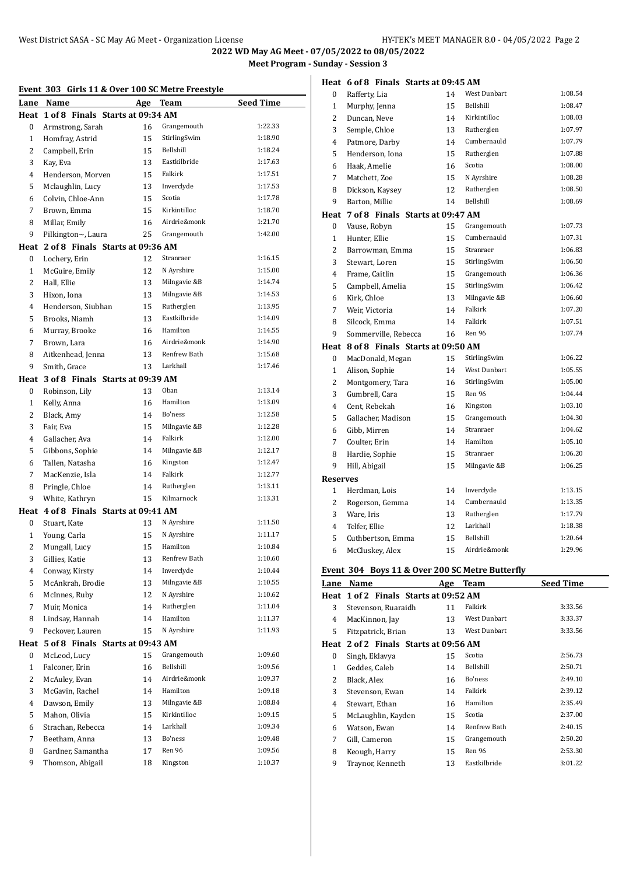**2022 WD May AG Meet - 07/05/2022 to 08/05/2022 Meet Program - Sunday - Session 3**

| Event 303 Girls 11 & Over 100 SC Metre Freestyle |                                       |    |              |                  |
|--------------------------------------------------|---------------------------------------|----|--------------|------------------|
| Lane                                             | Name                                  |    | Age Team     | <b>Seed Time</b> |
|                                                  | Heat 1 of 8 Finals Starts at 09:34 AM |    |              |                  |
| 0                                                | Armstrong, Sarah                      | 16 | Grangemouth  | 1:22.33          |
| $\mathbf{1}$                                     | Homfray, Astrid                       | 15 | StirlingSwim | 1:18.90          |
| 2                                                | Campbell, Erin                        | 15 | Bellshill    | 1:18.24          |
| 3                                                | Kay, Eva                              | 13 | Eastkilbride | 1:17.63          |
| 4                                                | Henderson, Morven                     | 15 | Falkirk      | 1:17.51          |
| 5                                                | Mclaughlin, Lucy                      | 13 | Inverclyde   | 1:17.53          |
| 6                                                | Colvin. Chloe-Ann                     | 15 | Scotia       | 1:17.78          |
| 7                                                | Brown, Emma                           | 15 | Kirkintilloc | 1:18.70          |
| 8                                                | Millar, Emily                         | 16 | Airdrie&monk | 1:21.70          |
| 9                                                | Pilkington~, Laura                    | 25 | Grangemouth  | 1:42.00          |
|                                                  | Heat 2 of 8 Finals Starts at 09:36 AM |    |              |                  |
| 0                                                | Lochery, Erin                         | 12 | Stranraer    | 1:16.15          |
| $\mathbf{1}$                                     | McGuire, Emily                        | 12 | N Ayrshire   | 1:15.00          |
| 2                                                | Hall, Ellie                           | 13 | Milngavie &B | 1:14.74          |
| 3                                                | Hixon, Iona                           | 13 | Milngavie &B | 1:14.53          |
| 4                                                | Henderson, Siubhan                    | 15 | Rutherglen   | 1:13.95          |
| 5                                                | Brooks, Niamh                         | 13 | Eastkilbride | 1:14.09          |
| 6                                                | Murray, Brooke                        | 16 | Hamilton     | 1:14.55          |
| 7                                                | Brown, Lara                           | 16 | Airdrie&monk | 1:14.90          |
| 8                                                | Aitkenhead, Jenna                     | 13 | Renfrew Bath | 1:15.68          |
| 9                                                | Smith, Grace                          | 13 | Larkhall     | 1:17.46          |
|                                                  | Heat 3 of 8 Finals Starts at 09:39 AM |    |              |                  |
| 0                                                | Robinson, Lily                        | 13 | Oban         | 1:13.14          |
| $\mathbf{1}$                                     | Kelly, Anna                           | 16 | Hamilton     | 1:13.09          |
| 2                                                | Black, Amy                            | 14 | Bo'ness      | 1:12.58          |
| 3                                                | Fair, Eva                             | 15 | Milngavie &B | 1:12.28          |
| 4                                                | Gallacher, Ava                        | 14 | Falkirk      | 1:12.00          |
| 5                                                | Gibbons, Sophie                       | 14 | Milngavie &B | 1:12.17          |
| 6                                                | Tallen, Natasha                       | 16 | Kingston     | 1:12.47          |
| 7                                                | MacKenzie, Isla                       | 14 | Falkirk      | 1:12.77          |
| 8                                                | Pringle, Chloe                        | 14 | Rutherglen   | 1:13.11          |
| 9                                                | White, Kathryn                        | 15 | Kilmarnock   | 1:13.31          |
|                                                  | Heat 4 of 8 Finals Starts at 09:41 AM |    |              |                  |
| 0                                                | Stuart, Kate                          | 13 | N Ayrshire   | 1:11.50          |
| 1                                                | Young, Carla                          | 15 | N Ayrshire   | 1:11.17          |
| $\mathbf{z}$                                     | Mungall, Lucy                         | 15 | Hamilton     | 1:10.84          |
| 3                                                | Gillies, Katie                        | 13 | Renfrew Bath | 1:10.60          |
| 4                                                | Conway, Kirsty                        | 14 | Inverclyde   | 1:10.44          |
| 5                                                | McAnkrah, Brodie                      | 13 | Milngavie &B | 1:10.55          |
| 6                                                | McInnes, Ruby                         | 12 | N Ayrshire   | 1:10.62          |
| 7                                                | Muir, Monica                          | 14 | Rutherglen   | 1:11.04          |
| 8                                                | Lindsay, Hannah                       | 14 | Hamilton     | 1:11.37          |
| 9                                                | Peckover, Lauren                      | 15 | N Ayrshire   | 1:11.93          |
| Heat                                             | 5 of 8 Finals Starts at 09:43 AM      |    |              |                  |
| 0                                                | McLeod, Lucy                          | 15 | Grangemouth  | 1:09.60          |
| $\mathbf{1}$                                     | Falconer, Erin                        | 16 | Bellshill    | 1:09.56          |
| 2                                                | McAuley, Evan                         | 14 | Airdrie&monk | 1:09.37          |
| 3                                                | McGavin, Rachel                       | 14 | Hamilton     | 1:09.18          |
| $\overline{4}$                                   | Dawson, Emily                         | 13 | Milngavie &B | 1:08.84          |
| 5                                                | Mahon, Olivia                         | 15 | Kirkintilloc | 1:09.15          |
| 6                                                | Strachan, Rebecca                     | 14 | Larkhall     | 1:09.34          |
| 7                                                | Beetham, Anna                         | 13 | Bo'ness      | 1:09.48          |
| 8                                                | Gardner, Samantha                     | 17 | Ren 96       | 1:09.56          |
| 9                                                | Thomson, Abigail                      | 18 | Kingston     | 1:10.37          |
|                                                  |                                       |    |              |                  |

|                                                 | Heat 6 of 8 Finals Starts at 09:45 AM |    |                  |         |
|-------------------------------------------------|---------------------------------------|----|------------------|---------|
| 0                                               | Rafferty, Lia                         | 14 | West Dunbart     | 1:08.54 |
| $\mathbf{1}$                                    | Murphy, Jenna                         | 15 | Bellshill        | 1:08.47 |
| 2                                               | Duncan, Neve                          | 14 | Kirkintilloc     | 1:08.03 |
| 3                                               | Semple, Chloe                         | 13 | Rutherglen       | 1:07.97 |
| 4                                               | Patmore, Darby                        | 14 | Cumbernauld      | 1:07.79 |
| 5                                               | Henderson, Iona                       | 15 | Rutherglen       | 1:07.88 |
| 6                                               | Haak, Amelie                          | 16 | Scotia           | 1:08.00 |
| 7                                               | Matchett, Zoe                         | 15 | N Ayrshire       | 1:08.28 |
| 8                                               | Dickson, Kaysey                       | 12 | Rutherglen       | 1:08.50 |
| 9                                               | Barton, Millie                        | 14 | Bellshill        | 1:08.69 |
|                                                 | Heat 7 of 8 Finals Starts at 09:47 AM |    |                  |         |
| 0                                               | Vause, Robyn                          | 15 | Grangemouth      | 1:07.73 |
| $\mathbf{1}$                                    | Hunter, Ellie                         | 15 | Cumbernauld      | 1:07.31 |
| 2                                               | Barrowman, Emma                       | 15 | Stranraer        | 1:06.83 |
| 3                                               | Stewart, Loren                        | 15 | StirlingSwim     | 1:06.50 |
| 4                                               | Frame, Caitlin                        | 15 | Grangemouth      | 1:06.36 |
| 5                                               | Campbell, Amelia                      | 15 | StirlingSwim     | 1:06.42 |
| 6                                               | Kirk, Chloe                           | 13 | Milngavie &B     | 1:06.60 |
| 7                                               | Weir, Victoria                        | 14 | Falkirk          | 1:07.20 |
| 8                                               | Silcock, Emma                         | 14 | Falkirk          | 1:07.51 |
| 9                                               | Sommerville, Rebecca                  | 16 | Ren 96           | 1:07.74 |
|                                                 | Heat 8 of 8 Finals Starts at 09:50 AM |    |                  |         |
| 0                                               | MacDonald, Megan                      | 15 | StirlingSwim     | 1:06.22 |
| $\mathbf{1}$                                    | Alison, Sophie                        | 14 | West Dunbart     | 1:05.55 |
| $\overline{2}$                                  | Montgomery, Tara                      | 16 | StirlingSwim     | 1:05.00 |
| 3                                               | Gumbrell, Cara                        | 15 | Ren 96           | 1:04.44 |
| 4                                               | Cent, Rebekah                         | 16 | Kingston         | 1:03.10 |
| 5                                               | Gallacher, Madison                    | 15 | Grangemouth      | 1:04.30 |
| 6                                               | Gibb, Mirren                          | 14 | Stranraer        | 1:04.62 |
| 7                                               | Coulter, Erin                         | 14 | Hamilton         | 1:05.10 |
| 8                                               | Hardie, Sophie                        | 15 | Stranraer        | 1:06.20 |
| 9                                               | Hill, Abigail                         | 15 | Milngavie &B     | 1:06.25 |
| <b>Reserves</b>                                 |                                       |    |                  |         |
| $\mathbf{1}$                                    | Herdman, Lois                         | 14 | Inverclyde       | 1:13.15 |
| 2                                               | Rogerson, Gemma                       | 14 | Cumbernauld      | 1:13.35 |
| 3                                               | Ware, Iris                            | 13 | Rutherglen       | 1:17.79 |
| $\overline{4}$                                  | Telfer, Ellie                         | 12 | Larkhall         | 1:18.38 |
| 5                                               | Cuthbertson, Emma                     | 15 | <b>Bellshill</b> | 1:20.64 |
| 6                                               | McCluskey, Alex                       | 15 | Airdrie&monk     | 1:29.96 |
| Event 304 Boys 11 & Over 200 SC Metre Butterfly |                                       |    |                  |         |

| Lane         | Name                                  | Age | <b>Team</b>  | <b>Seed Time</b> |
|--------------|---------------------------------------|-----|--------------|------------------|
|              | Heat 1 of 2 Finals Starts at 09:52 AM |     |              |                  |
| 3            | Stevenson, Ruaraidh                   | 11  | Falkirk      | 3:33.56          |
| 4            | MacKinnon, Jay                        | 13  | West Dunbart | 3:33.37          |
| 5            | Fitzpatrick, Brian                    | 13  | West Dunbart | 3:33.56          |
| Heat         | 2 of 2 Finals Starts at 09:56 AM      |     |              |                  |
| 0            | Singh, Eklavya                        | 15  | Scotia       | 2:56.73          |
| $\mathbf{1}$ | Geddes, Caleb                         | 14  | Bellshill    | 2:50.71          |
| 2            | Black, Alex                           | 16  | Bo'ness      | 2:49.10          |
| 3            | Stevenson, Ewan                       | 14  | Falkirk      | 2:39.12          |
| 4            | Stewart, Ethan                        | 16  | Hamilton     | 2:35.49          |
| 5            | McLaughlin, Kayden                    | 15  | Scotia       | 2:37.00          |
| 6            | Watson, Ewan                          | 14  | Renfrew Bath | 2:40.15          |
| 7            | Gill, Cameron                         | 15  | Grangemouth  | 2:50.20          |
| 8            | Keough, Harry                         | 15  | Ren 96       | 2:53.30          |
| 9            | Traynor, Kenneth                      | 13  | Eastkilbride | 3:01.22          |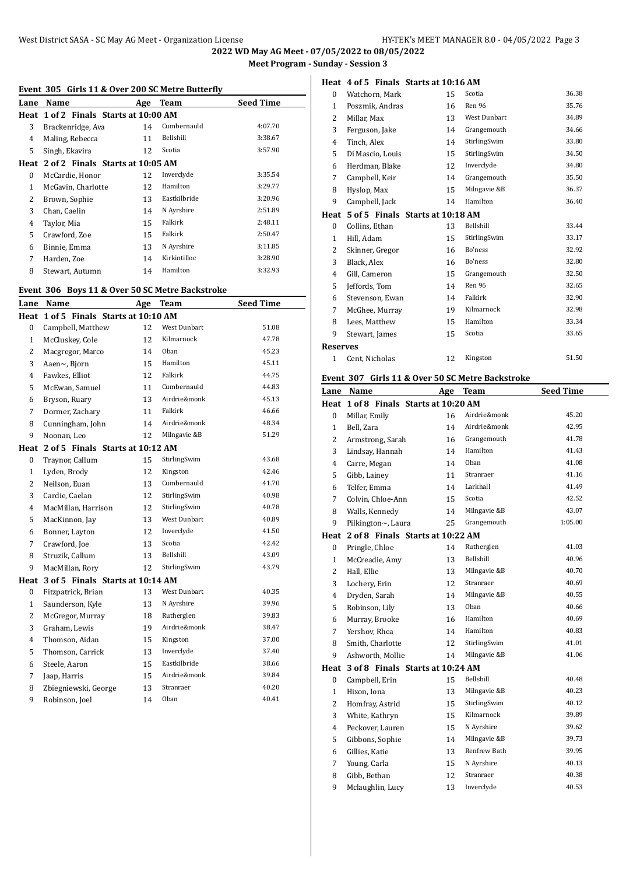**2022 WD May AG Meet - 07/05/2022 to 08/05/2022 Meet Program - Sunday - Session 3**

#### **Heat 4 of 5 Finals Starts at 10:16 AM**

|                | Event 305 Girls 11 & Over 200 SC Metre Butterfly |            |                            |                  |
|----------------|--------------------------------------------------|------------|----------------------------|------------------|
|                | Lane Name                                        | <b>Age</b> | <b>Team</b>                | <b>Seed Time</b> |
|                | Heat 1 of 2 Finals Starts at 10:00 AM            |            |                            |                  |
| 3              | Brackenridge, Ava                                | 14         | Cumbernauld                | 4:07.70          |
| 4              | Maling, Rebecca                                  | 11         | Bellshill                  | 3:38.67          |
| 5              | Singh, Ekavira                                   | 12         | Scotia                     | 3:57.90          |
|                | Heat 2 of 2 Finals Starts at 10:05 AM            |            |                            |                  |
| 0              | McCardie, Honor                                  | 12         | Inverclyde                 | 3:35.54          |
| $\mathbf{1}$   | McGavin, Charlotte                               | 12         | Hamilton                   | 3:29.77          |
| $\overline{2}$ | Brown, Sophie                                    | 13         | Eastkilbride               | 3:20.96          |
| 3              | Chan. Caelin                                     | 14         | N Ayrshire                 | 2:51.89          |
| 4              | Taylor, Mia                                      | 15         | Falkirk                    | 2:48.11          |
| 5              | Crawford, Zoe                                    | 15         | Falkirk                    | 2:50.47          |
| 6              | Binnie, Emma                                     | 13         | N Ayrshire                 | 3:11.85          |
| 7              | Harden, Zoe                                      | 14         | Kirkintilloc               | 3:28.90          |
| 8              | Stewart, Autumn                                  | 14         | Hamilton                   | 3:32.93          |
|                |                                                  |            |                            |                  |
|                | Event 306 Boys 11 & Over 50 SC Metre Backstroke  |            |                            |                  |
|                | Lane Name                                        |            | Age Team                   | <b>Seed Time</b> |
|                | Heat 1 of 5 Finals Starts at 10:10 AM            |            |                            |                  |
| 0              | Campbell, Matthew                                | 12         | West Dunbart               | 51.08            |
| $\mathbf{1}$   | McCluskey, Cole                                  | 12         | Kilmarnock                 | 47.78            |
| $\overline{2}$ | Macgregor, Marco                                 | 14         | Oban                       | 45.23            |
| 3              | Aaen~, Bjorn                                     | 15         | Hamilton                   | 45.11            |
| 4              | Fawkes, Elliot                                   | 12         | Falkirk                    | 44.75            |
| 5              | McEwan, Samuel                                   | 11         | Cumbernauld                | 44.83            |
| 6              | Bryson, Ruary                                    | 13         | Airdrie&monk               | 45.13            |
| 7              | Dormer, Zachary                                  | 11         | Falkirk                    | 46.66            |
| 8              | Cunningham, John                                 | 14         | Airdrie&monk               | 48.34            |
| 9              | Noonan, Leo                                      | 12         | Milngavie &B               | 51.29            |
|                | Heat 2 of 5 Finals Starts at 10:12 AM            |            |                            |                  |
| 0              | Traynor, Callum                                  | 15         | StirlingSwim               | 43.68            |
| $\mathbf{1}$   | Lyden, Brody                                     | 12         | Kingston                   | 42.46            |
| $\overline{2}$ | Neilson, Euan                                    | 13         | Cumbernauld                | 41.70            |
| 3              | Cardie, Caelan                                   | 12         | StirlingSwim               | 40.98            |
| 4              | MacMillan, Harrison                              | 12         | StirlingSwim               | 40.78            |
| 5              | MacKinnon, Jay                                   | 13         | West Dunbart               | 40.89            |
| 6              | Bonner, Layton                                   | 12         | Inverclyde                 | 41.50            |
| 7              | Crawford, Joe                                    | 13         | Scotia                     | 42.42            |
| 8              | Struzik, Callum                                  | 13         | Bellshill                  | 43.09            |
| 9              | MacMillan, Rory                                  | 12         | StirlingSwim               | 43.79            |
|                | 3 of 5 Finals Starts at 10:14 AM                 |            |                            |                  |
| Heat           | Fitzpatrick, Brian                               | 13         | West Dunbart               | 40.35            |
| 0              |                                                  |            | N Ayrshire                 | 39.96            |
| $\mathbf{1}$   | Saunderson, Kyle                                 | 13         |                            |                  |
| $\overline{c}$ | McGregor, Murray                                 | 18         | Rutherglen<br>Airdrie&monk | 39.83<br>38.47   |
| 3              | Graham, Lewis                                    | 19         |                            |                  |
| 4              | Thomson, Aidan                                   | 15         | Kingston                   | 37.00            |
| 5              | Thomson, Carrick                                 | 13         | Inverclyde                 | 37.40            |
| 6              | Steele, Aaron                                    | 15         | Eastkilbride               | 38.66            |
| 7              | Jaap, Harris                                     | 15         | Airdrie&monk               | 39.84            |
| 8              | Zbiegniewski, George                             | 13         | Stranraer                  | 40.20            |
| 9              | Robinson, Joel                                   | 14         | Oban                       | 40.41            |

| 0               | Watchorn, Mark                   | 15 | Scotia              | 36.38 |
|-----------------|----------------------------------|----|---------------------|-------|
| $\mathbf{1}$    | Poszmik, Andras                  | 16 | Ren 96              | 35.76 |
| 2               | Millar, Max                      | 13 | <b>West Dunbart</b> | 34.89 |
| 3               | Ferguson, Jake                   | 14 | Grangemouth         | 34.66 |
| 4               | Tinch, Alex                      | 14 | StirlingSwim        | 33.80 |
| 5               | Di Mascio, Louis                 | 15 | StirlingSwim        | 34.50 |
| 6               | Herdman, Blake                   | 12 | Inverclyde          | 34.80 |
| 7               | Campbell, Keir                   | 14 | Grangemouth         | 35.50 |
| 8               | Hyslop, Max                      | 15 | Milngavie &B        | 36.37 |
| 9               | Campbell, Jack                   | 14 | Hamilton            | 36.40 |
| Heat            | 5 of 5 Finals Starts at 10:18 AM |    |                     |       |
| $\mathbf{0}$    | Collins, Ethan                   | 13 | Bellshill           | 33.44 |
| 1               | Hill, Adam                       | 15 | StirlingSwim        | 33.17 |
| 2               | Skinner, Gregor                  | 16 | Bo'ness             | 32.92 |
| 3               | Black, Alex                      | 16 | Bo'ness             | 32.80 |
| 4               | Gill, Cameron                    | 15 | Grangemouth         | 32.50 |
| 5               | Jeffords, Tom                    | 14 | Ren 96              | 32.65 |
| 6               | Stevenson, Ewan                  | 14 | Falkirk             | 32.90 |
| 7               | McGhee, Murray                   | 19 | Kilmarnock          | 32.98 |
| 8               | Lees, Matthew                    | 15 | Hamilton            | 33.34 |
| 9               | Stewart, James                   | 15 | Scotia              | 33.65 |
| <b>Reserves</b> |                                  |    |                     |       |
| $\mathbf{1}$    | Cent, Nicholas                   | 12 | Kingston            | 51.50 |

## **Event 307 Girls 11 & Over 50 SC Metre Backstroke**

| Lane           | Name                             | Age | Team         | <b>Seed Time</b> |
|----------------|----------------------------------|-----|--------------|------------------|
| Heat           | 1 of 8 Finals Starts at 10:20 AM |     |              |                  |
| $\bf{0}$       | Millar, Emily                    | 16  | Airdrie&monk | 45.20            |
| $\mathbf{1}$   | Bell, Zara                       | 14  | Airdrie&monk | 42.95            |
| $\overline{2}$ | Armstrong, Sarah                 | 16  | Grangemouth  | 41.78            |
| 3              | Lindsay, Hannah                  | 14  | Hamilton     | 41.43            |
| $\overline{4}$ | Carre, Megan                     | 14  | Oban         | 41.08            |
| 5              | Gibb, Lainey                     | 11  | Stranraer    | 41.16            |
| 6              | Telfer, Emma                     | 14  | Larkhall     | 41.49            |
| $\overline{7}$ | Colvin, Chloe-Ann                | 15  | Scotia       | 42.52            |
| 8              | Walls, Kennedy                   | 14  | Milngavie &B | 43.07            |
| 9              | Pilkington~, Laura               | 25  | Grangemouth  | 1:05.00          |
| Heat           | 2 of 8 Finals Starts at 10:22 AM |     |              |                  |
| $\bf{0}$       | Pringle, Chloe                   | 14  | Rutherglen   | 41.03            |
| $\mathbf{1}$   | McCreadie, Amy                   | 13  | Bellshill    | 40.96            |
| $\overline{2}$ | Hall, Ellie                      | 13  | Milngavie &B | 40.70            |
| 3              | Lochery, Erin                    | 12  | Stranraer    | 40.69            |
| 4              | Dryden, Sarah                    | 14  | Milngavie &B | 40.55            |
| 5              | Robinson, Lily                   | 13  | Oban         | 40.66            |
| 6              | Murray, Brooke                   | 16  | Hamilton     | 40.69            |
| $\overline{7}$ | Yershov, Rhea                    | 14  | Hamilton     | 40.83            |
| 8              | Smith, Charlotte                 | 12  | StirlingSwim | 41.01            |
| 9              | Ashworth, Mollie                 | 14  | Milngavie &B | 41.06            |
| Heat           | 3 of 8 Finals Starts at 10:24 AM |     |              |                  |
| 0              | Campbell, Erin                   | 15  | Bellshill    | 40.48            |
| $\mathbf{1}$   | Hixon, Iona                      | 13  | Milngavie &B | 40.23            |
| $\overline{2}$ | Homfray, Astrid                  | 15  | StirlingSwim | 40.12            |
| 3              | White, Kathryn                   | 15  | Kilmarnock   | 39.89            |
| 4              | Peckover, Lauren                 | 15  | N Ayrshire   | 39.62            |
| 5              | Gibbons, Sophie                  | 14  | Milngavie &B | 39.73            |
| 6              | Gillies, Katie                   | 13  | Renfrew Bath | 39.95            |
| $\overline{7}$ | Young, Carla                     | 15  | N Ayrshire   | 40.13            |
| 8              | Gibb, Bethan                     | 12  | Stranraer    | 40.38            |
| 9              | Mclaughlin, Lucy                 | 13  | Inverclyde   | 40.53            |